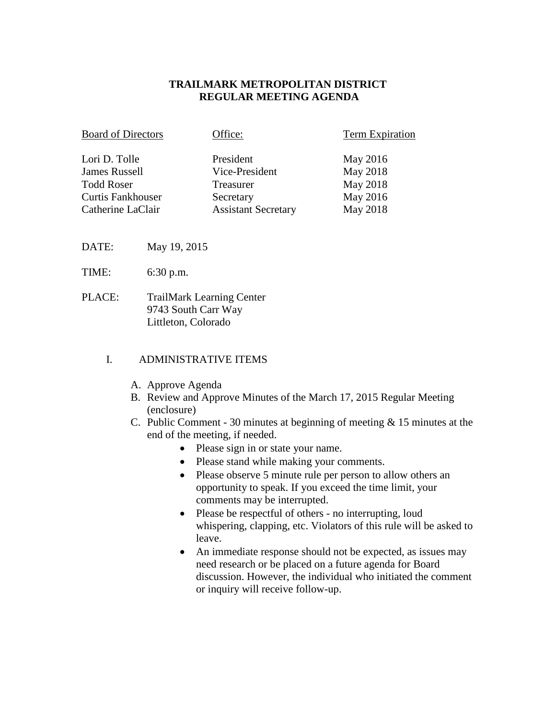## **TRAILMARK METROPOLITAN DISTRICT REGULAR MEETING AGENDA**

| <b>Board of Directors</b> | Office:                    | <b>Term Expiration</b> |
|---------------------------|----------------------------|------------------------|
| Lori D. Tolle             | President                  | May 2016               |
| <b>James Russell</b>      | Vice-President             | May 2018               |
| <b>Todd Roser</b>         | Treasurer                  | May 2018               |
| <b>Curtis Fankhouser</b>  | Secretary                  | May 2016               |
| Catherine LaClair         | <b>Assistant Secretary</b> | May 2018               |

- DATE: May 19, 2015
- TIME: 6:30 p.m.
- PLACE: TrailMark Learning Center 9743 South Carr Way Littleton, Colorado

#### I. ADMINISTRATIVE ITEMS

- A. Approve Agenda
- B. Review and Approve Minutes of the March 17, 2015 Regular Meeting (enclosure)
- C. Public Comment 30 minutes at beginning of meeting & 15 minutes at the end of the meeting, if needed.
	- Please sign in or state your name.
	- Please stand while making your comments.
	- Please observe 5 minute rule per person to allow others an opportunity to speak. If you exceed the time limit, your comments may be interrupted.
	- Please be respectful of others no interrupting, loud whispering, clapping, etc. Violators of this rule will be asked to leave.
	- An immediate response should not be expected, as issues may need research or be placed on a future agenda for Board discussion. However, the individual who initiated the comment or inquiry will receive follow-up.